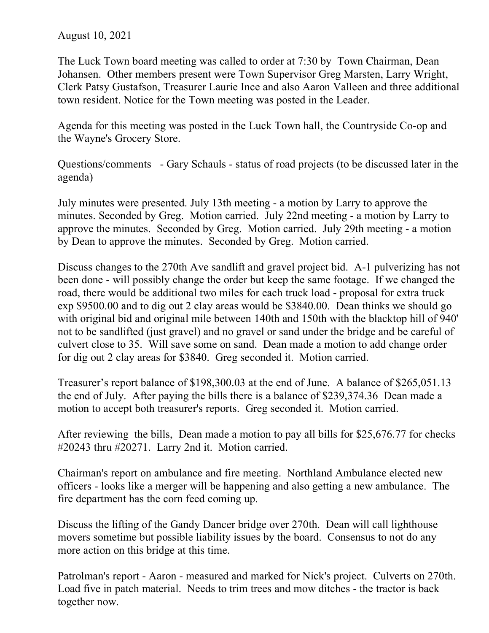## August 10, 2021

The Luck Town board meeting was called to order at 7:30 by Town Chairman, Dean Johansen. Other members present were Town Supervisor Greg Marsten, Larry Wright, Clerk Patsy Gustafson, Treasurer Laurie Ince and also Aaron Valleen and three additional town resident. Notice for the Town meeting was posted in the Leader.

Agenda for this meeting was posted in the Luck Town hall, the Countryside Co-op and the Wayne's Grocery Store.

Questions/comments - Gary Schauls - status of road projects (to be discussed later in the agenda)

July minutes were presented. July 13th meeting - a motion by Larry to approve the minutes. Seconded by Greg. Motion carried. July 22nd meeting - a motion by Larry to approve the minutes. Seconded by Greg. Motion carried. July 29th meeting - a motion by Dean to approve the minutes. Seconded by Greg. Motion carried.

Discuss changes to the 270th Ave sandlift and gravel project bid. A-1 pulverizing has not been done - will possibly change the order but keep the same footage. If we changed the road, there would be additional two miles for each truck load - proposal for extra truck exp \$9500.00 and to dig out 2 clay areas would be \$3840.00. Dean thinks we should go with original bid and original mile between 140th and 150th with the blacktop hill of 940' not to be sandlifted (just gravel) and no gravel or sand under the bridge and be careful of culvert close to 35. Will save some on sand. Dean made a motion to add change order for dig out 2 clay areas for \$3840. Greg seconded it. Motion carried.

Treasurer's report balance of \$198,300.03 at the end of June. A balance of \$265,051.13 the end of July. After paying the bills there is a balance of \$239,374.36 Dean made a motion to accept both treasurer's reports. Greg seconded it. Motion carried.

After reviewing the bills, Dean made a motion to pay all bills for \$25,676.77 for checks #20243 thru #20271. Larry 2nd it. Motion carried.

Chairman's report on ambulance and fire meeting. Northland Ambulance elected new officers - looks like a merger will be happening and also getting a new ambulance. The fire department has the corn feed coming up.

Discuss the lifting of the Gandy Dancer bridge over 270th. Dean will call lighthouse movers sometime but possible liability issues by the board. Consensus to not do any more action on this bridge at this time.

Patrolman's report - Aaron - measured and marked for Nick's project. Culverts on 270th. Load five in patch material. Needs to trim trees and mow ditches - the tractor is back together now.